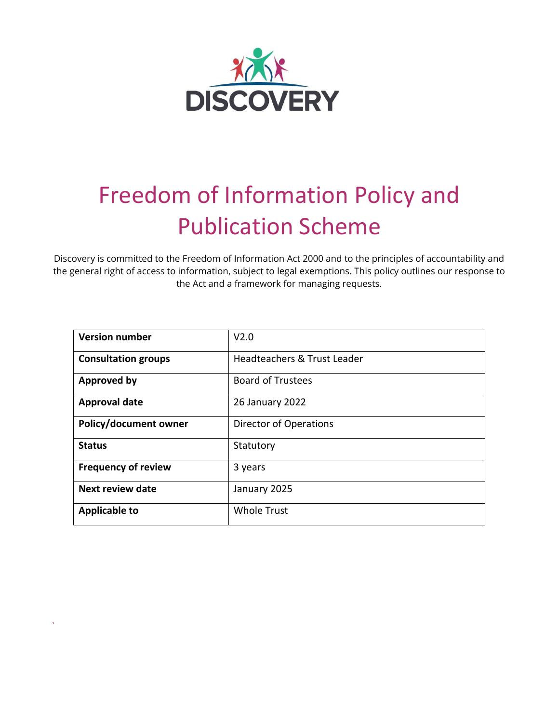

# Freedom of Information Policy and Publication Scheme

Discovery is committed to the Freedom of Information Act 2000 and to the principles of accountability and the general right of access to information, subject to legal exemptions. This policy outlines our response to the Act and a framework for managing requests.

| <b>Version number</b>      | V <sub>2.0</sub>              |
|----------------------------|-------------------------------|
| <b>Consultation groups</b> | Headteachers & Trust Leader   |
| <b>Approved by</b>         | <b>Board of Trustees</b>      |
| <b>Approval date</b>       | 26 January 2022               |
| Policy/document owner      | <b>Director of Operations</b> |
| <b>Status</b>              | Statutory                     |
| <b>Frequency of review</b> | 3 years                       |
| <b>Next review date</b>    | January 2025                  |
| <b>Applicable to</b>       | <b>Whole Trust</b>            |

`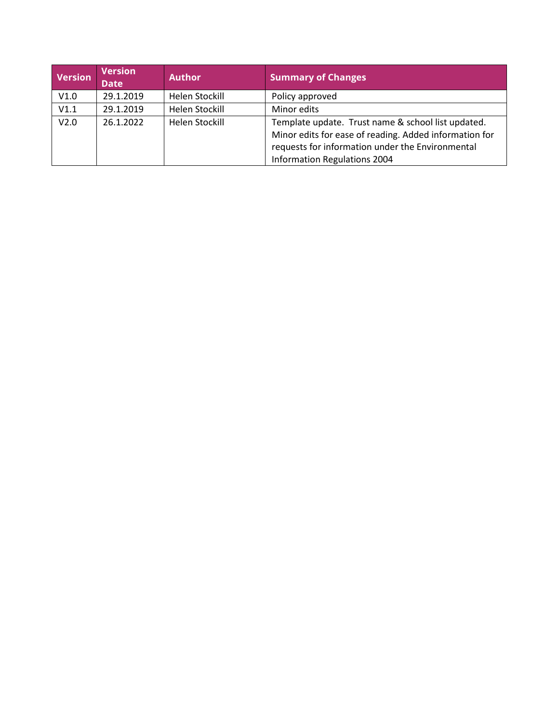| <b>Version</b>   | <b>Version</b><br><b>Date</b> | <b>Author</b>  | <b>Summary of Changes</b>                                                                                                                                                                        |
|------------------|-------------------------------|----------------|--------------------------------------------------------------------------------------------------------------------------------------------------------------------------------------------------|
| V1.0             | 29.1.2019                     | Helen Stockill | Policy approved                                                                                                                                                                                  |
| V1.1             | 29.1.2019                     | Helen Stockill | Minor edits                                                                                                                                                                                      |
| V <sub>2.0</sub> | 26.1.2022                     | Helen Stockill | Template update. Trust name & school list updated.<br>Minor edits for ease of reading. Added information for<br>requests for information under the Environmental<br>Information Regulations 2004 |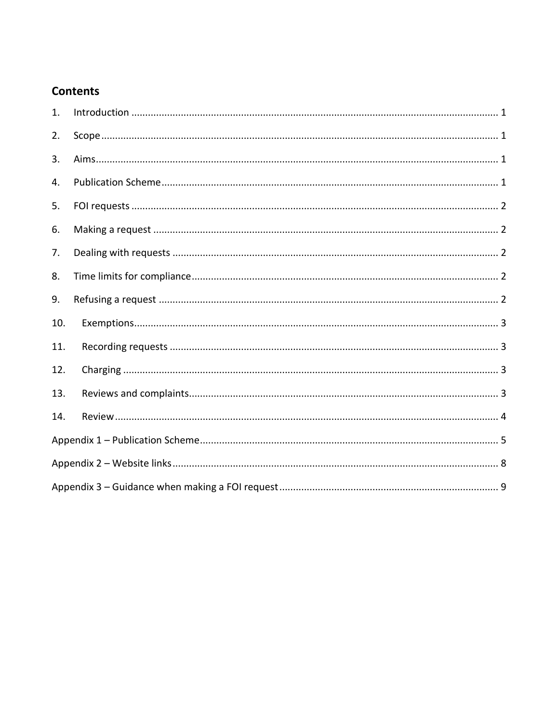# **Contents**

| 1.  |  |
|-----|--|
| 2.  |  |
| 3.  |  |
| 4.  |  |
| 5.  |  |
| 6.  |  |
| 7.  |  |
| 8.  |  |
| 9.  |  |
| 10. |  |
| 11. |  |
| 12. |  |
| 13. |  |
| 14. |  |
|     |  |
|     |  |
|     |  |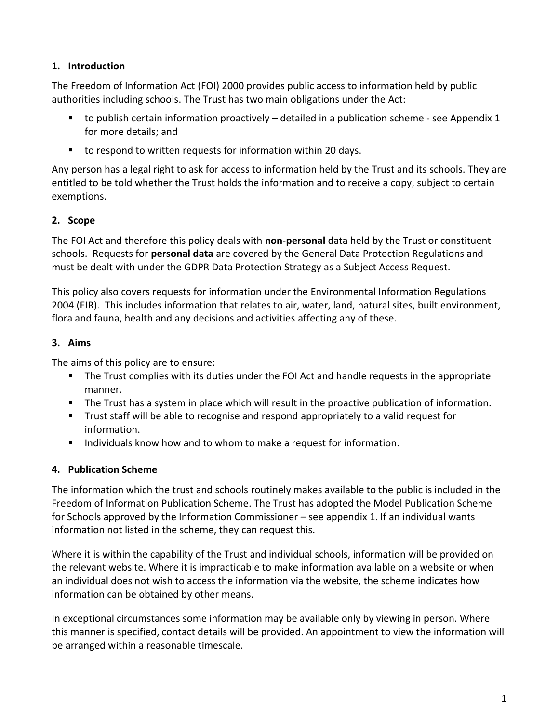## <span id="page-3-0"></span>**1. Introduction**

The Freedom of Information Act (FOI) 2000 provides public access to information held by public authorities including schools. The Trust has two main obligations under the Act:

- $\blacksquare$  to publish certain information proactively detailed in a publication scheme see Appendix 1 for more details; and
- to respond to written requests for information within 20 days.

Any person has a legal right to ask for access to information held by the Trust and its schools. They are entitled to be told whether the Trust holds the information and to receive a copy, subject to certain exemptions.

# <span id="page-3-1"></span>**2. Scope**

The FOI Act and therefore this policy deals with **non-personal** data held by the Trust or constituent schools. Requests for **personal data** are covered by the General Data Protection Regulations and must be dealt with under the GDPR Data Protection Strategy as a Subject Access Request.

This policy also covers requests for information under the Environmental Information Regulations 2004 (EIR). This includes information that relates to air, water, land, natural sites, built environment, flora and fauna, health and any decisions and activities affecting any of these.

# <span id="page-3-2"></span>**3. Aims**

The aims of this policy are to ensure:

- The Trust complies with its duties under the FOI Act and handle requests in the appropriate manner.
- The Trust has a system in place which will result in the proactive publication of information.
- Trust staff will be able to recognise and respond appropriately to a valid request for information.
- Individuals know how and to whom to make a request for information.

# <span id="page-3-3"></span>**4. Publication Scheme**

The information which the trust and schools routinely makes available to the public is included in the Freedom of Information Publication Scheme. The Trust has adopted the Model Publication Scheme for Schools approved by the Information Commissioner – see appendix 1. If an individual wants information not listed in the scheme, they can request this.

Where it is within the capability of the Trust and individual schools, information will be provided on the relevant website. Where it is impracticable to make information available on a website or when an individual does not wish to access the information via the website, the scheme indicates how information can be obtained by other means.

In exceptional circumstances some information may be available only by viewing in person. Where this manner is specified, contact details will be provided. An appointment to view the information will be arranged within a reasonable timescale.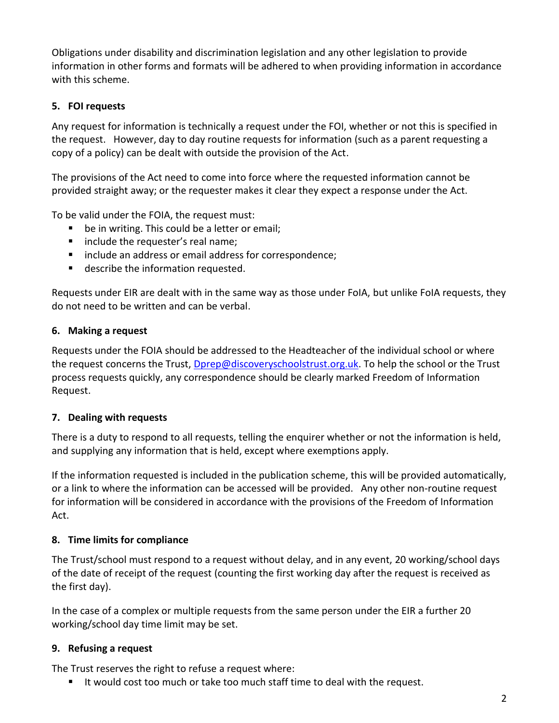Obligations under disability and discrimination legislation and any other legislation to provide information in other forms and formats will be adhered to when providing information in accordance with this scheme.

# <span id="page-4-0"></span>**5. FOI requests**

Any request for information is technically a request under the FOI, whether or not this is specified in the request. However, day to day routine requests for information (such as a parent requesting a copy of a policy) can be dealt with outside the provision of the Act.

The provisions of the Act need to come into force where the requested information cannot be provided straight away; or the requester makes it clear they expect a response under the Act.

To be valid under the FOIA, the request must:

- be in writing. This could be a letter or email;
- include the requester's real name;
- include an address or email address for correspondence;
- describe the information requested.

Requests under EIR are dealt with in the same way as those under FoIA, but unlike FoIA requests, they do not need to be written and can be verbal.

# <span id="page-4-1"></span>**6. Making a request**

Requests under the FOIA should be addressed to the Headteacher of the individual school or where the request concerns the Trust, [Dprep@discoveryschoolstrust.org.uk.](mailto:Dprep@discoveryschoolstrust.org.uk) To help the school or the Trust process requests quickly, any correspondence should be clearly marked Freedom of Information Request.

## <span id="page-4-2"></span>**7. Dealing with requests**

There is a duty to respond to all requests, telling the enquirer whether or not the information is held, and supplying any information that is held, except where exemptions apply.

If the information requested is included in the publication scheme, this will be provided automatically, or a link to where the information can be accessed will be provided. Any other non-routine request for information will be considered in accordance with the provisions of the Freedom of Information Act.

# <span id="page-4-3"></span>**8. Time limits for compliance**

The Trust/school must respond to a request without delay, and in any event, 20 working/school days of the date of receipt of the request (counting the first working day after the request is received as the first day).

In the case of a complex or multiple requests from the same person under the EIR a further 20 working/school day time limit may be set.

# <span id="page-4-4"></span>**9. Refusing a request**

The Trust reserves the right to refuse a request where:

■ It would cost too much or take too much staff time to deal with the request.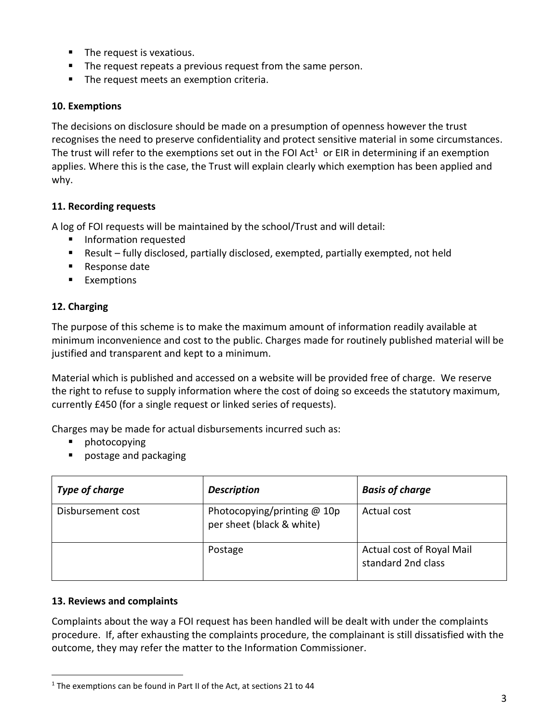- The request is vexatious.
- The request repeats a previous request from the same person.
- The request meets an exemption criteria.

## <span id="page-5-0"></span>**10. Exemptions**

The decisions on disclosure should be made on a presumption of openness however the trust recognises the need to preserve confidentiality and protect sensitive material in some circumstances. The trust will refer to the exemptions set out in the FOI Act<sup>1</sup> or EIR in determining if an exemption applies. Where this is the case, the Trust will explain clearly which exemption has been applied and why.

## <span id="page-5-1"></span>**11. Recording requests**

A log of FOI requests will be maintained by the school/Trust and will detail:

- Information requested
- Result fully disclosed, partially disclosed, exempted, partially exempted, not held
- Response date
- Exemptions

# <span id="page-5-2"></span>**12. Charging**

The purpose of this scheme is to make the maximum amount of information readily available at minimum inconvenience and cost to the public. Charges made for routinely published material will be justified and transparent and kept to a minimum.

Material which is published and accessed on a website will be provided free of charge. We reserve the right to refuse to supply information where the cost of doing so exceeds the statutory maximum, currently £450 (for a single request or linked series of requests).

Charges may be made for actual disbursements incurred such as:

- photocopying
- postage and packaging

| Type of charge    | <b>Description</b>                                         | <b>Basis of charge</b>                          |
|-------------------|------------------------------------------------------------|-------------------------------------------------|
| Disbursement cost | Photocopying/printing $@$ 10p<br>per sheet (black & white) | Actual cost                                     |
|                   | Postage                                                    | Actual cost of Royal Mail<br>standard 2nd class |

## <span id="page-5-3"></span>**13. Reviews and complaints**

Complaints about the way a FOI request has been handled will be dealt with under the complaints procedure. If, after exhausting the complaints procedure, the complainant is still dissatisfied with the outcome, they may refer the matter to the Information Commissioner.

 $1$  The exemptions can be found in Part II of the Act, at sections 21 to 44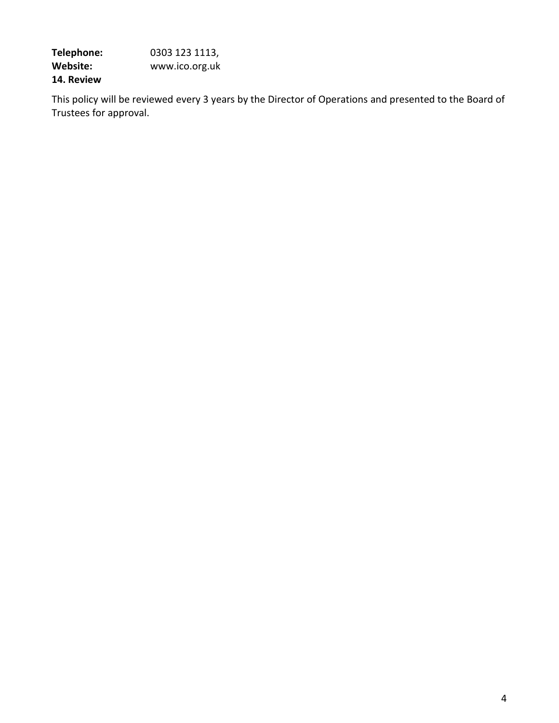**Telephone:** 0303 123 1113, **Website:** www.ico.org.uk **14. Review**

<span id="page-6-0"></span>This policy will be reviewed every 3 years by the Director of Operations and presented to the Board of Trustees for approval.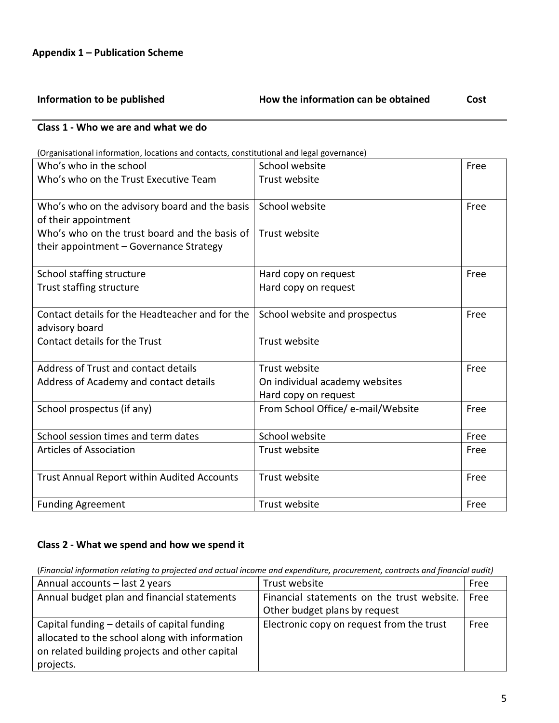<span id="page-7-0"></span>

# **Class 1 - Who we are and what we do**

#### (Organisational information, locations and contacts, constitutional and legal governance)

| Who's who in the school                         | School website                     | Free |
|-------------------------------------------------|------------------------------------|------|
| Who's who on the Trust Executive Team           | Trust website                      |      |
|                                                 |                                    |      |
| Who's who on the advisory board and the basis   | School website                     | Free |
| of their appointment                            |                                    |      |
| Who's who on the trust board and the basis of   | Trust website                      |      |
| their appointment - Governance Strategy         |                                    |      |
|                                                 |                                    |      |
| School staffing structure                       | Hard copy on request               | Free |
| Trust staffing structure                        | Hard copy on request               |      |
|                                                 |                                    |      |
| Contact details for the Headteacher and for the | School website and prospectus      | Free |
| advisory board                                  |                                    |      |
| Contact details for the Trust                   | Trust website                      |      |
|                                                 |                                    |      |
| Address of Trust and contact details            | Trust website                      | Free |
| Address of Academy and contact details          | On individual academy websites     |      |
|                                                 | Hard copy on request               |      |
| School prospectus (if any)                      | From School Office/ e-mail/Website | Free |
|                                                 |                                    |      |
| School session times and term dates             | School website                     | Free |
| <b>Articles of Association</b>                  | Trust website                      | Free |
|                                                 |                                    |      |
| Trust Annual Report within Audited Accounts     | Trust website                      | Free |
|                                                 |                                    |      |
| <b>Funding Agreement</b>                        | Trust website                      | Free |

#### **Class 2 - What we spend and how we spend it**

# (*Financial information relating to projected and actual income and expenditure, procurement, contracts and financial audit)*

| Annual accounts - last 2 years                                                                                                                                | Trust website                              | Free |
|---------------------------------------------------------------------------------------------------------------------------------------------------------------|--------------------------------------------|------|
| Annual budget plan and financial statements                                                                                                                   | Financial statements on the trust website. | Free |
|                                                                                                                                                               | Other budget plans by request              |      |
| Capital funding - details of capital funding<br>allocated to the school along with information<br>on related building projects and other capital<br>projects. | Electronic copy on request from the trust  | Free |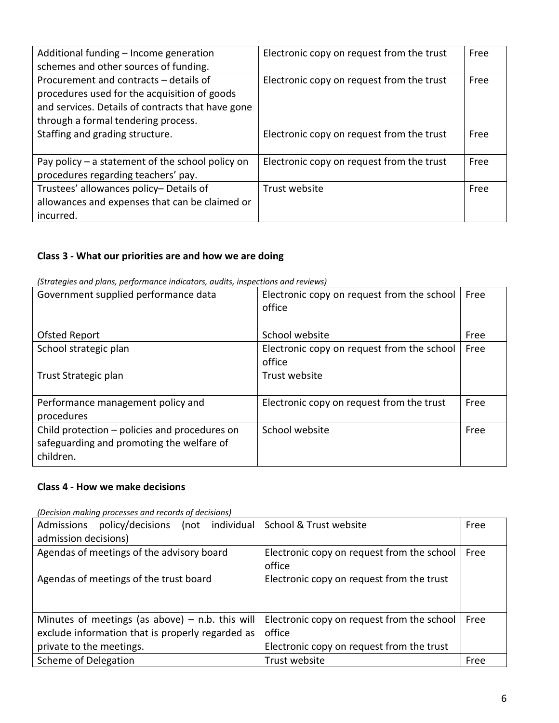| Additional funding - Income generation<br>schemes and other sources of funding. | Electronic copy on request from the trust | Free |
|---------------------------------------------------------------------------------|-------------------------------------------|------|
|                                                                                 |                                           |      |
| Procurement and contracts - details of                                          | Electronic copy on request from the trust | Free |
| procedures used for the acquisition of goods                                    |                                           |      |
| and services. Details of contracts that have gone                               |                                           |      |
| through a formal tendering process.                                             |                                           |      |
| Staffing and grading structure.                                                 | Electronic copy on request from the trust | Free |
|                                                                                 |                                           |      |
| Pay policy $-$ a statement of the school policy on                              | Electronic copy on request from the trust | Free |
| procedures regarding teachers' pay.                                             |                                           |      |
| Trustees' allowances policy- Details of                                         | Trust website                             | Free |
| allowances and expenses that can be claimed or                                  |                                           |      |
| incurred.                                                                       |                                           |      |

# **Class 3 - What our priorities are and how we are doing**

| (Strategies and plans, performance indicators, audits, inspections and reviews) |  |  |  |
|---------------------------------------------------------------------------------|--|--|--|
|                                                                                 |  |  |  |

| Government supplied performance data                                                                    | Electronic copy on request from the school<br>office | Free |
|---------------------------------------------------------------------------------------------------------|------------------------------------------------------|------|
| Ofsted Report                                                                                           | School website                                       | Free |
| School strategic plan                                                                                   | Electronic copy on request from the school<br>office | Free |
| Trust Strategic plan                                                                                    | Trust website                                        |      |
| Performance management policy and<br>procedures                                                         | Electronic copy on request from the trust            | Free |
| Child protection - policies and procedures on<br>safeguarding and promoting the welfare of<br>children. | School website                                       | Free |

# **Class 4 - How we make decisions**

*(Decision making processes and records of decisions)* 

| policy/decisions (not individual<br>Admissions    | School & Trust website                               | Free |
|---------------------------------------------------|------------------------------------------------------|------|
| admission decisions)                              |                                                      |      |
| Agendas of meetings of the advisory board         | Electronic copy on request from the school<br>office | Free |
| Agendas of meetings of the trust board            | Electronic copy on request from the trust            |      |
| Minutes of meetings (as above) $-$ n.b. this will | Electronic copy on request from the school           | Free |
| exclude information that is properly regarded as  | office                                               |      |
| private to the meetings.                          | Electronic copy on request from the trust            |      |
| Scheme of Delegation                              | Trust website                                        | Free |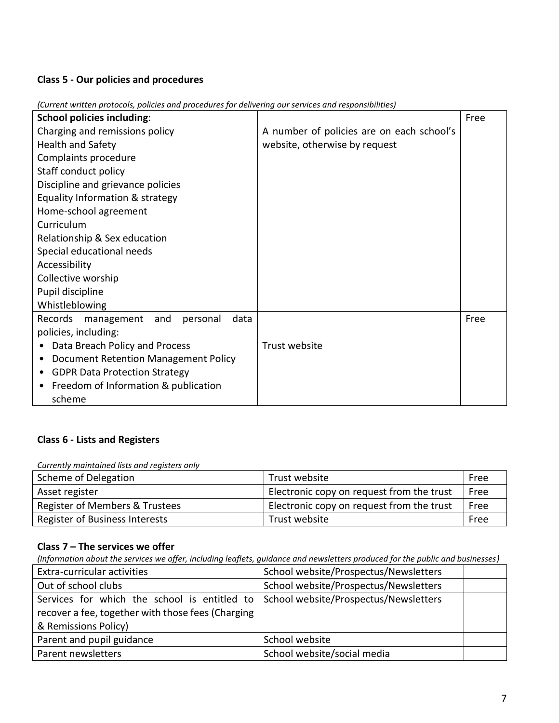# **Class 5 - Our policies and procedures**

| <b>School policies including:</b>                |                                           | Free |
|--------------------------------------------------|-------------------------------------------|------|
| Charging and remissions policy                   | A number of policies are on each school's |      |
| Health and Safety                                | website, otherwise by request             |      |
| Complaints procedure                             |                                           |      |
| Staff conduct policy                             |                                           |      |
| Discipline and grievance policies                |                                           |      |
| Equality Information & strategy                  |                                           |      |
| Home-school agreement                            |                                           |      |
| Curriculum                                       |                                           |      |
| Relationship & Sex education                     |                                           |      |
| Special educational needs                        |                                           |      |
| Accessibility                                    |                                           |      |
| Collective worship                               |                                           |      |
| Pupil discipline                                 |                                           |      |
| Whistleblowing                                   |                                           |      |
| Records<br>data<br>management<br>personal<br>and |                                           | Free |
| policies, including:                             |                                           |      |
| Data Breach Policy and Process                   | Trust website                             |      |
| Document Retention Management Policy             |                                           |      |
| <b>GDPR Data Protection Strategy</b>             |                                           |      |
| Freedom of Information & publication             |                                           |      |
| scheme                                           |                                           |      |

*(Current written protocols, policies and procedures for delivering our services and responsibilities)*

# **Class 6 - Lists and Registers**

*Currently maintained lists and registers only*

| Scheme of Delegation           | Trust website                             | Free |
|--------------------------------|-------------------------------------------|------|
| Asset register                 | Electronic copy on request from the trust | Free |
| Register of Members & Trustees | Electronic copy on request from the trust | Free |
| Register of Business Interests | Trust website                             | Free |

#### **Class 7 – The services we offer**

*(Information about the services we offer, including leaflets, guidance and newsletters produced for the public and businesses)*

| Extra-curricular activities                                                        | School website/Prospectus/Newsletters |  |
|------------------------------------------------------------------------------------|---------------------------------------|--|
| Out of school clubs                                                                | School website/Prospectus/Newsletters |  |
| Services for which the school is entitled to School website/Prospectus/Newsletters |                                       |  |
| recover a fee, together with those fees (Charging                                  |                                       |  |
| & Remissions Policy)                                                               |                                       |  |
| Parent and pupil guidance                                                          | School website                        |  |
| Parent newsletters                                                                 | School website/social media           |  |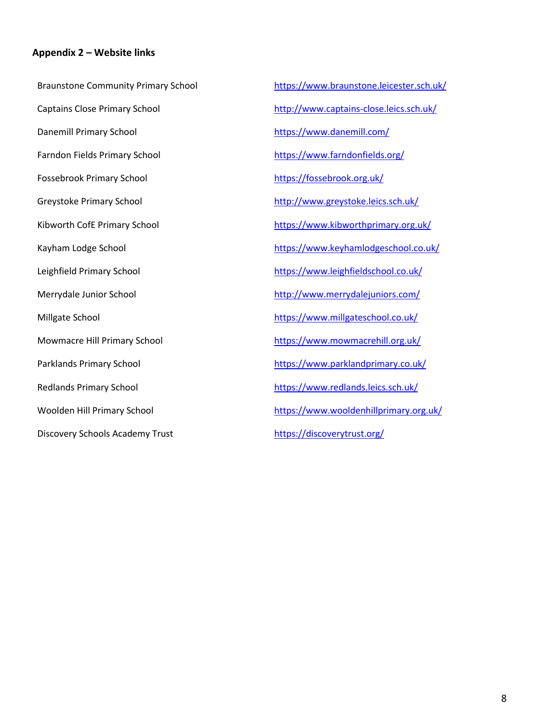#### <span id="page-10-0"></span>**Appendix 2 – Website links**

Braunstone Community Primary School Captains Close Primary School Danemill Primary School Farndon Fields Primary School Fossebrook Primary School Greystoke Primary School Kibworth CofE Primary School Kayham Lodge School Leighfield Primary School Merrydale Junior School Millgate School Mowmacre Hill Primary School Parklands Primary School Redlands Primary School Woolden Hill Primary School Discovery Schools Academy Trust

<https://www.braunstone.leicester.sch.uk/> <http://www.captains-close.leics.sch.uk/> <https://www.danemill.com/> <https://www.farndonfields.org/> <https://fossebrook.org.uk/> <http://www.greystoke.leics.sch.uk/> <https://www.kibworthprimary.org.uk/> https://www.keyhamlodgeschool.co.uk/ <https://www.leighfieldschool.co.uk/> <http://www.merrydalejuniors.com/> https://www.millgateschool.co.uk/ <https://www.mowmacrehill.org.uk/> <https://www.parklandprimary.co.uk/> <https://www.redlands.leics.sch.uk/> <https://www.wooldenhillprimary.org.uk/> https://discoverytrust.org/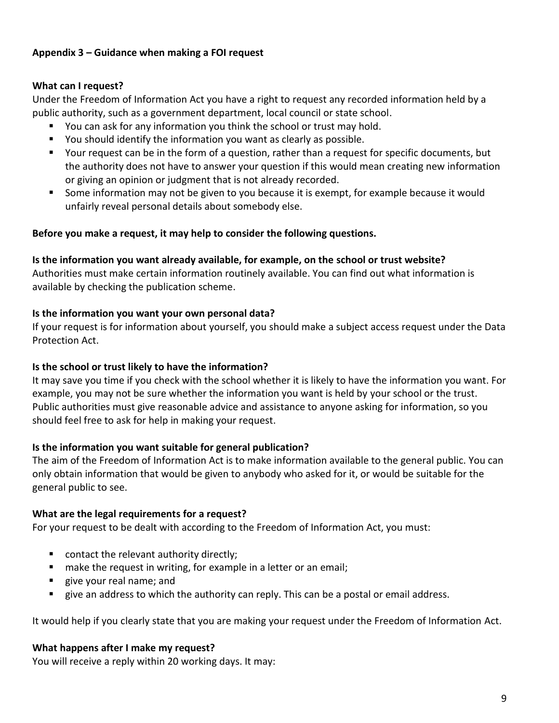## <span id="page-11-0"></span>**Appendix 3 – Guidance when making a FOI request**

#### **What can I request?**

Under the Freedom of Information Act you have a right to request any recorded information held by a public authority, such as a government department, local council or state school.

- You can ask for any information you think the school or trust may hold.
- You should identify the information you want as clearly as possible.
- Your request can be in the form of a question, rather than a request for specific documents, but the authority does not have to answer your question if this would mean creating new information or giving an opinion or judgment that is not already recorded.
- Some information may not be given to you because it is exempt, for example because it would unfairly reveal personal details about somebody else.

#### **Before you make a request, it may help to consider the following questions.**

**Is the information you want already available, for example, on the school or trust website?** 

Authorities must make certain information routinely available. You can find out what information is available by checking the publication scheme.

#### **Is the information you want your own personal data?**

If your request is for information about yourself, you should make a subject access request under the Data Protection Act.

### **Is the school or trust likely to have the information?**

It may save you time if you check with the school whether it is likely to have the information you want. For example, you may not be sure whether the information you want is held by your school or the trust. Public authorities must give reasonable advice and assistance to anyone asking for information, so you should feel free to ask for help in making your request.

## **Is the information you want suitable for general publication?**

The aim of the Freedom of Information Act is to make information available to the general public. You can only obtain information that would be given to anybody who asked for it, or would be suitable for the general public to see.

#### **What are the legal requirements for a request?**

For your request to be dealt with according to the Freedom of Information Act, you must:

- contact the relevant authority directly;
- make the request in writing, for example in a letter or an email;
- give your real name; and
- give an address to which the authority can reply. This can be a postal or email address.

It would help if you clearly state that you are making your request under the Freedom of Information Act.

#### **What happens after I make my request?**

You will receive a reply within 20 working days. It may: